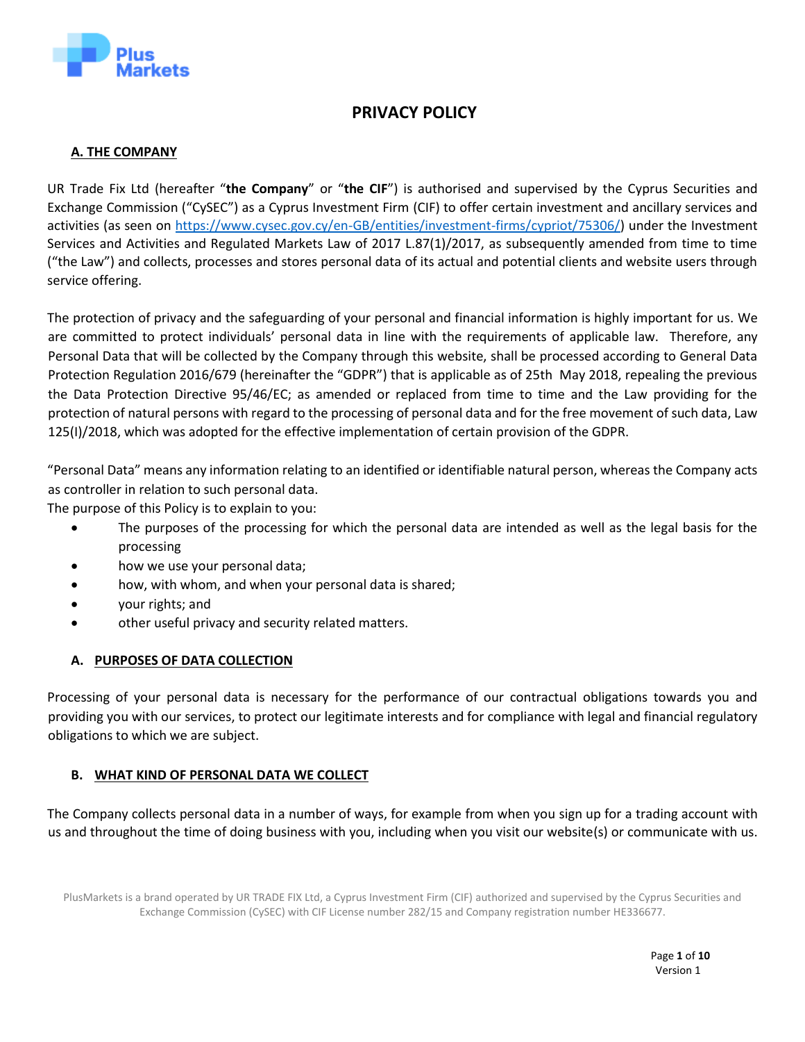

# **PRIVACY POLICY**

# **A. THE COMPANY**

UR Trade Fix Ltd (hereafter "**the Company**" or "**the CIF**") is authorised and supervised by the Cyprus Securities and Exchange Commission ("CySEC") as a Cyprus Investment Firm (CIF) to offer certain investment and ancillary services and activities (as seen on [https://www.cysec.gov.cy/en-GB/entities/investment-firms/cypriot/75306/\)](https://www.cysec.gov.cy/en-GB/entities/investment-firms/cypriot/75306/) under the Investment Services and Activities and Regulated Markets Law of 2017 L.87(1)/2017, as subsequently amended from time to time ("the Law") and collects, processes and stores personal data of its actual and potential clients and website users through service offering.

The protection of privacy and the safeguarding of your personal and financial information is highly important for us. We are committed to protect individuals' personal data in line with the requirements of applicable law. Therefore, any Personal Data that will be collected by the Company through this website, shall be processed according to General Data Protection Regulation 2016/679 (hereinafter the "GDPR") that is applicable as of 25th May 2018, repealing the previous the Data Protection Directive 95/46/EC; as amended or replaced from time to time and the Law providing for the protection of natural persons with regard to the processing of personal data and for the free movement of such data, Law 125(I)/2018, which was adopted for the effective implementation of certain provision of the GDPR.

"Personal Data" means any information relating to an identified or identifiable natural person, whereas the Company acts as controller in relation to such personal data.

The purpose of this Policy is to explain to you:

- The purposes of the processing for which the personal data are intended as well as the legal basis for the processing
- how we use your personal data;
- how, with whom, and when your personal data is shared;
- your rights; and
- other useful privacy and security related matters.

# **A. PURPOSES OF DATA COLLECTION**

Processing of your personal data is necessary for the performance of our contractual obligations towards you and providing you with our services, to protect our legitimate interests and for compliance with legal and financial regulatory obligations to which we are subject.

# **B. WHAT KIND OF PERSONAL DATA WE COLLECT**

The Company collects personal data in a number of ways, for example from when you sign up for a trading account with us and throughout the time of doing business with you, including when you visit our website(s) or communicate with us.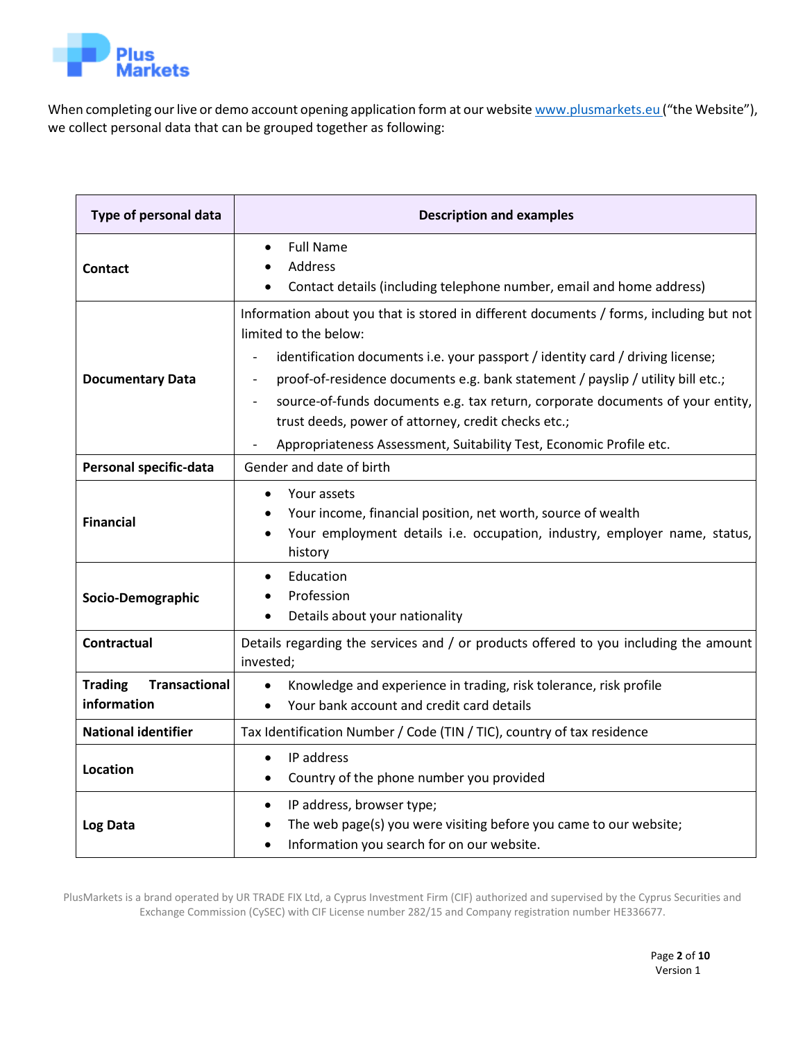

When completing our live or demo account opening application form at our websit[e www.plusmarkets.eu](http://www.plusmarkets.eu/) ("the Website"), we collect personal data that can be grouped together as following:

| Type of personal data                                 | <b>Description and examples</b>                                                                                                                                                                                                                                                                                                                                                                                                                                                                      |
|-------------------------------------------------------|------------------------------------------------------------------------------------------------------------------------------------------------------------------------------------------------------------------------------------------------------------------------------------------------------------------------------------------------------------------------------------------------------------------------------------------------------------------------------------------------------|
| <b>Contact</b>                                        | <b>Full Name</b><br>$\bullet$<br>Address<br>$\bullet$<br>Contact details (including telephone number, email and home address)                                                                                                                                                                                                                                                                                                                                                                        |
| <b>Documentary Data</b>                               | Information about you that is stored in different documents / forms, including but not<br>limited to the below:<br>identification documents i.e. your passport / identity card / driving license;<br>proof-of-residence documents e.g. bank statement / payslip / utility bill etc.;<br>source-of-funds documents e.g. tax return, corporate documents of your entity,<br>trust deeds, power of attorney, credit checks etc.;<br>Appropriateness Assessment, Suitability Test, Economic Profile etc. |
| Personal specific-data                                | Gender and date of birth                                                                                                                                                                                                                                                                                                                                                                                                                                                                             |
| <b>Financial</b>                                      | Your assets<br>$\bullet$<br>Your income, financial position, net worth, source of wealth<br>$\bullet$<br>Your employment details i.e. occupation, industry, employer name, status,<br>history                                                                                                                                                                                                                                                                                                        |
| Socio-Demographic                                     | Education<br>$\bullet$<br>Profession<br>Details about your nationality<br>$\bullet$                                                                                                                                                                                                                                                                                                                                                                                                                  |
| <b>Contractual</b>                                    | Details regarding the services and / or products offered to you including the amount<br>invested;                                                                                                                                                                                                                                                                                                                                                                                                    |
| <b>Transactional</b><br><b>Trading</b><br>information | Knowledge and experience in trading, risk tolerance, risk profile<br>$\bullet$<br>Your bank account and credit card details<br>$\bullet$                                                                                                                                                                                                                                                                                                                                                             |
| <b>National identifier</b>                            | Tax Identification Number / Code (TIN / TIC), country of tax residence                                                                                                                                                                                                                                                                                                                                                                                                                               |
| <b>Location</b>                                       | IP address<br>$\bullet$<br>Country of the phone number you provided<br>٠                                                                                                                                                                                                                                                                                                                                                                                                                             |
| Log Data                                              | IP address, browser type;<br>٠<br>The web page(s) you were visiting before you came to our website;<br>Information you search for on our website.                                                                                                                                                                                                                                                                                                                                                    |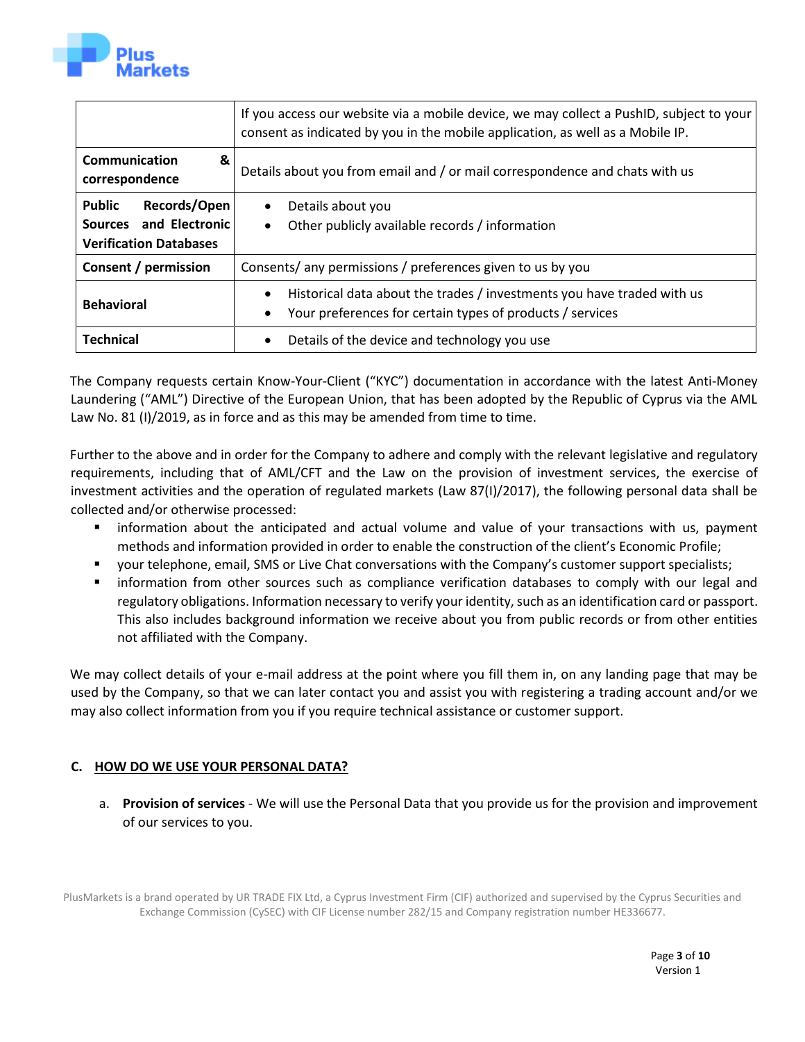

|                                                                                          | If you access our website via a mobile device, we may collect a PushID, subject to your<br>consent as indicated by you in the mobile application, as well as a Mobile IP. |
|------------------------------------------------------------------------------------------|---------------------------------------------------------------------------------------------------------------------------------------------------------------------------|
| Communication<br>&<br>correspondence                                                     | Details about you from email and / or mail correspondence and chats with us                                                                                               |
| <b>Public</b><br>Records/Open<br>Sources and Electronic<br><b>Verification Databases</b> | Details about you<br>$\bullet$<br>Other publicly available records / information<br>$\bullet$                                                                             |
| Consent / permission                                                                     | Consents/ any permissions / preferences given to us by you                                                                                                                |
| <b>Behavioral</b>                                                                        | Historical data about the trades / investments you have traded with us<br>Your preferences for certain types of products / services                                       |
| <b>Technical</b>                                                                         | Details of the device and technology you use<br>$\bullet$                                                                                                                 |

The Company requests certain Know-Your-Client ("KYC") documentation in accordance with the latest Anti-Money Laundering ("AML") Directive of the European Union, that has been adopted by the Republic of Cyprus via the AML Law No. 81 (I)/2019, as in force and as this may be amended from time to time.

Further to the above and in order for the Company to adhere and comply with the relevant legislative and regulatory requirements, including that of AML/CFT and the Law on the provision of investment services, the exercise of investment activities and the operation of regulated markets (Law 87(I)/2017), the following personal data shall be collected and/or otherwise processed:

- information about the anticipated and actual volume and value of your transactions with us, payment methods and information provided in order to enable the construction of the client's Economic Profile;
- your telephone, email, SMS or Live Chat conversations with the Company's customer support specialists;
- information from other sources such as compliance verification databases to comply with our legal and regulatory obligations. Information necessary to verify your identity, such as an identification card or passport. This also includes background information we receive about you from public records or from other entities not affiliated with the Company.

We may collect details of your e-mail address at the point where you fill them in, on any landing page that may be used by the Company, so that we can later contact you and assist you with registering a trading account and/or we may also collect information from you if you require technical assistance or customer support.

# **C. HOW DO WE USE YOUR PERSONAL DATA?**

a. **Provision of services** - We will use the Personal Data that you provide us for the provision and improvement of our services to you.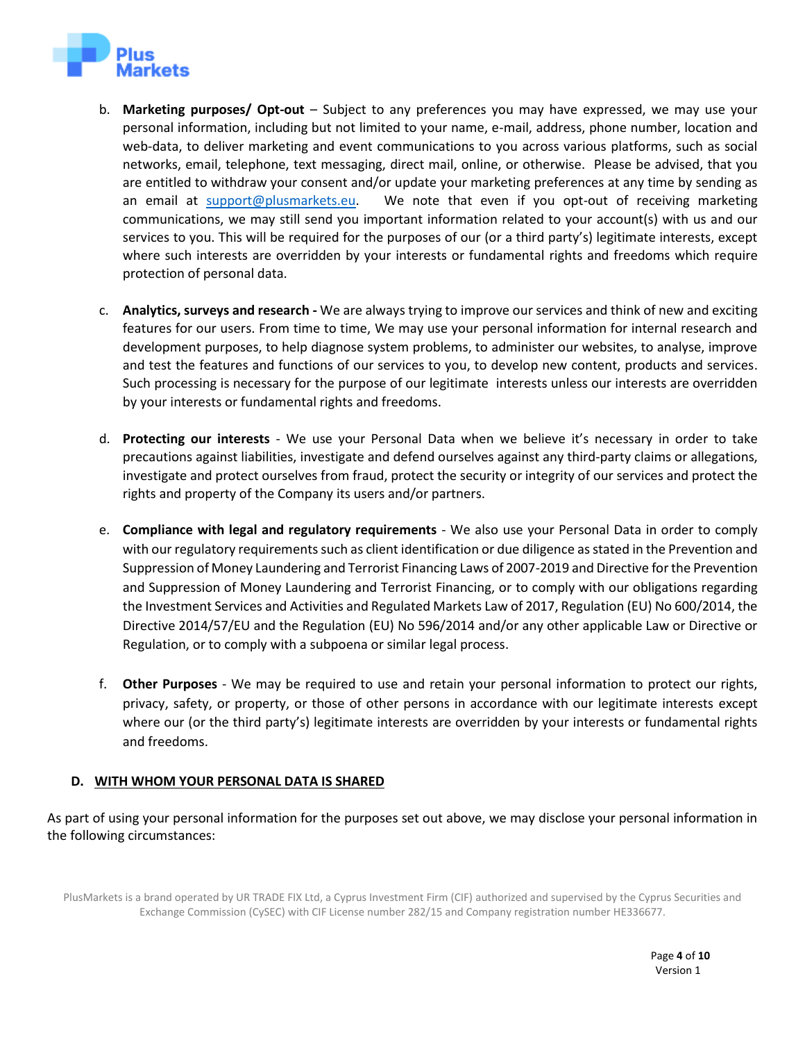

- b. **Marketing purposes/ Opt-out** Subject to any preferences you may have expressed, we may use your personal information, including but not limited to your name, e-mail, address, phone number, location and web-data, to deliver marketing and event communications to you across various platforms, such as social networks, email, telephone, text messaging, direct mail, online, or otherwise. Please be advised, that you are entitled to withdraw your consent and/or update your marketing preferences at any time by sending as an email at [support@plusmarkets.eu.](mailto:support@plusmarkets.eu) We note that even if you opt-out of receiving marketing communications, we may still send you important information related to your account(s) with us and our services to you. This will be required for the purposes of our (or a third party's) legitimate interests, except where such interests are overridden by your interests or fundamental rights and freedoms which require protection of personal data.
- c. **Analytics, surveys and research -** We are always trying to improve our services and think of new and exciting features for our users. From time to time, We may use your personal information for internal research and development purposes, to help diagnose system problems, to administer our websites, to analyse, improve and test the features and functions of our services to you, to develop new content, products and services. Such processing is necessary for the purpose of our legitimate interests unless our interests are overridden by your interests or fundamental rights and freedoms.
- d. **Protecting our interests** We use your Personal Data when we believe it's necessary in order to take precautions against liabilities, investigate and defend ourselves against any third-party claims or allegations, investigate and protect ourselves from fraud, protect the security or integrity of our services and protect the rights and property of the Company its users and/or partners.
- e. **Compliance with legal and regulatory requirements** We also use your Personal Data in order to comply with our regulatory requirements such as client identification or due diligence as stated in the Prevention and Suppression of Money Laundering and Terrorist Financing Laws of 2007-2019 and Directive for the Prevention and Suppression of Money Laundering and Terrorist Financing, or to comply with our obligations regarding the Investment Services and Activities and Regulated Markets Law of 2017, Regulation (EU) No 600/2014, the Directive 2014/57/EU and the Regulation (EU) No 596/2014 and/or any other applicable Law or Directive or Regulation, or to comply with a subpoena or similar legal process.
- f. **Other Purposes**  We may be required to use and retain your personal information to protect our rights, privacy, safety, or property, or those of other persons in accordance with our legitimate interests except where our (or the third party's) legitimate interests are overridden by your interests or fundamental rights and freedoms.

# **D. WITH WHOM YOUR PERSONAL DATA IS SHARED**

As part of using your personal information for the purposes set out above, we may disclose your personal information in the following circumstances:

PlusMarkets is a brand operated by UR TRADE FIX Ltd, a Cyprus Investment Firm (CIF) authorized and supervised by the Cyprus Securities and Exchange Commission (CySEC) with CIF License number 282/15 and Company registration number HE336677.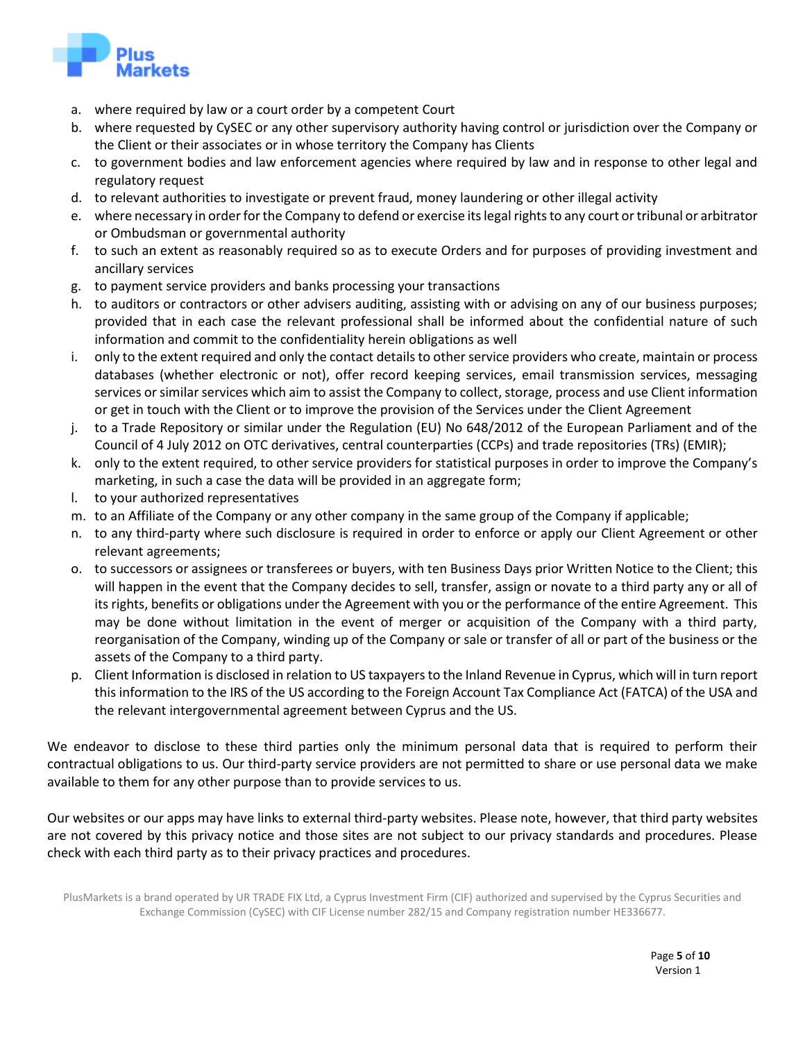

- a. where required by law or a court order by a competent Court
- b. where requested by CySEC or any other supervisory authority having control or jurisdiction over the Company or the Client or their associates or in whose territory the Company has Clients
- c. to government bodies and law enforcement agencies where required by law and in response to other legal and regulatory request
- d. to relevant authorities to investigate or prevent fraud, money laundering or other illegal activity
- e. where necessary in order for the Company to defend or exercise its legal rights to any court or tribunal or arbitrator or Ombudsman or governmental authority
- f. to such an extent as reasonably required so as to execute Orders and for purposes of providing investment and ancillary services
- g. to payment service providers and banks processing your transactions
- h. to auditors or contractors or other advisers auditing, assisting with or advising on any of our business purposes; provided that in each case the relevant professional shall be informed about the confidential nature of such information and commit to the confidentiality herein obligations as well
- i. only to the extent required and only the contact details to other service providers who create, maintain or process databases (whether electronic or not), offer record keeping services, email transmission services, messaging services or similar services which aim to assist the Company to collect, storage, process and use Client information or get in touch with the Client or to improve the provision of the Services under the Client Agreement
- j. to a Trade Repository or similar under the Regulation (EU) No 648/2012 of the European Parliament and of the Council of 4 July 2012 on OTC derivatives, central counterparties (CCPs) and trade repositories (TRs) (EMIR);
- k. only to the extent required, to other service providers for statistical purposes in order to improve the Company's marketing, in such a case the data will be provided in an aggregate form;
- l. to your authorized representatives
- m. to an Affiliate of the Company or any other company in the same group of the Company if applicable;
- n. to any third-party where such disclosure is required in order to enforce or apply our Client Agreement or other relevant agreements;
- o. to successors or assignees or transferees or buyers, with ten Business Days prior Written Notice to the Client; this will happen in the event that the Company decides to sell, transfer, assign or novate to a third party any or all of its rights, benefits or obligations under the Agreement with you or the performance of the entire Agreement. This may be done without limitation in the event of merger or acquisition of the Company with a third party, reorganisation of the Company, winding up of the Company or sale or transfer of all or part of the business or the assets of the Company to a third party.
- p. Client Information is disclosed in relation to US taxpayers to the Inland Revenue in Cyprus, which will in turn report this information to the IRS of the US according to the Foreign Account Tax Compliance Act (FATCA) of the USA and the relevant intergovernmental agreement between Cyprus and the US.

We endeavor to disclose to these third parties only the minimum personal data that is required to perform their contractual obligations to us. Our third-party service providers are not permitted to share or use personal data we make available to them for any other purpose than to provide services to us.

Our websites or our apps may have links to external third-party websites. Please note, however, that third party websites are not covered by this privacy notice and those sites are not subject to our privacy standards and procedures. Please check with each third party as to their privacy practices and procedures.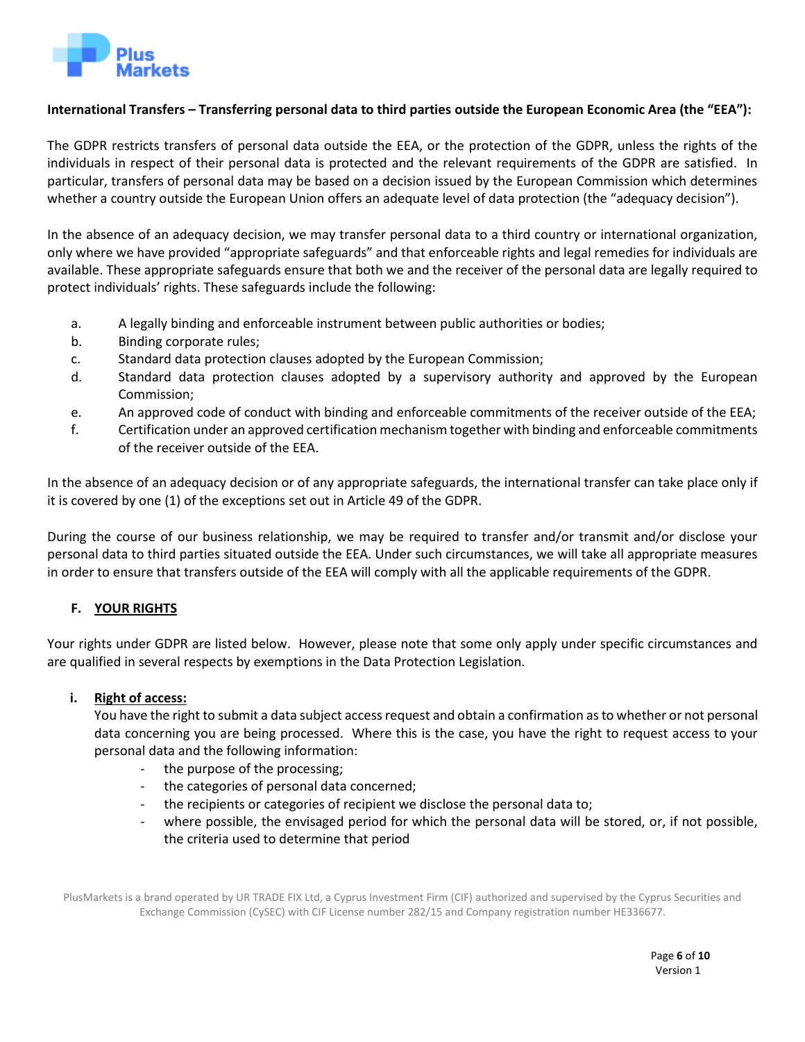

# **International Transfers – Transferring personal data to third parties outside the European Economic Area (the "EEA"):**

The GDPR restricts transfers of personal data outside the EEA, or the protection of the GDPR, unless the rights of the individuals in respect of their personal data is protected and the relevant requirements of the GDPR are satisfied. In particular, transfers of personal data may be based on a decision issued by the European Commission which determines whether a country outside the European Union offers an adequate level of data protection (the "adequacy decision").

In the absence of an adequacy decision, we may transfer personal data to a third country or international organization, only where we have provided "appropriate safeguards" and that enforceable rights and legal remedies for individuals are available. These appropriate safeguards ensure that both we and the receiver of the personal data are legally required to protect individuals' rights. These safeguards include the following:

- a. A legally binding and enforceable instrument between public authorities or bodies;
- b. Binding corporate rules;
- c. Standard data protection clauses adopted by the European Commission;
- d. Standard data protection clauses adopted by a supervisory authority and approved by the European Commission;
- e. An approved code of conduct with binding and enforceable commitments of the receiver outside of the EEA;
- f. Certification under an approved certification mechanism together with binding and enforceable commitments of the receiver outside of the EEA.

In the absence of an adequacy decision or of any appropriate safeguards, the international transfer can take place only if it is covered by one (1) of the exceptions set out in Article 49 of the GDPR.

During the course of our business relationship, we may be required to transfer and/or transmit and/or disclose your personal data to third parties situated outside the EEA. Under such circumstances, we will take all appropriate measures in order to ensure that transfers outside of the EEA will comply with all the applicable requirements of the GDPR.

# **F. YOUR RIGHTS**

Your rights under GDPR are listed below. However, please note that some only apply under specific circumstances and are qualified in several respects by exemptions in the Data Protection Legislation.

# **i. Right of access:**

You have the right to submit a data subject access request and obtain a confirmation as to whether or not personal data concerning you are being processed. Where this is the case, you have the right to request access to your personal data and the following information:

- the purpose of the processing;
- the categories of personal data concerned;
- the recipients or categories of recipient we disclose the personal data to;
- where possible, the envisaged period for which the personal data will be stored, or, if not possible, the criteria used to determine that period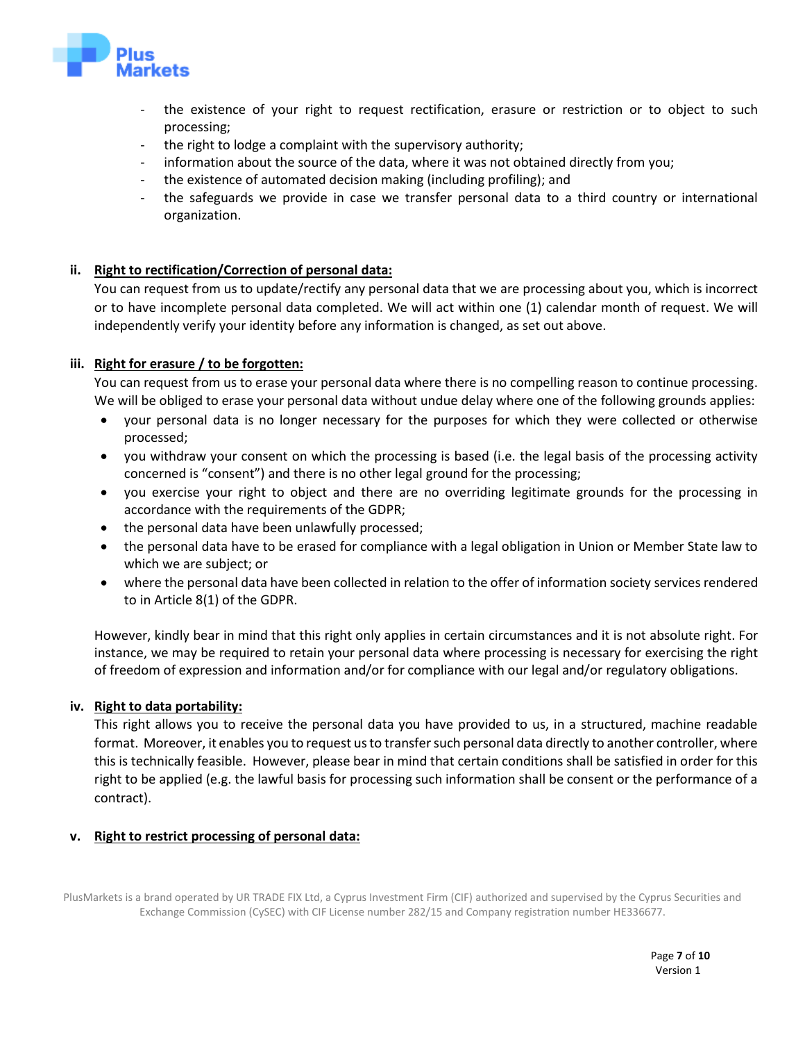

- the existence of your right to request rectification, erasure or restriction or to object to such processing;
- the right to lodge a complaint with the supervisory authority;
- information about the source of the data, where it was not obtained directly from you;
- the existence of automated decision making (including profiling); and
- the safeguards we provide in case we transfer personal data to a third country or international organization.

# **ii. Right to rectification/Correction of personal data:**

You can request from us to update/rectify any personal data that we are processing about you, which is incorrect or to have incomplete personal data completed. We will act within one (1) calendar month of request. We will independently verify your identity before any information is changed, as set out above.

#### **iii. Right for erasure / to be forgotten:**

You can request from us to erase your personal data where there is no compelling reason to continue processing. We will be obliged to erase your personal data without undue delay where one of the following grounds applies:

- your personal data is no longer necessary for the purposes for which they were collected or otherwise processed;
- you withdraw your consent on which the processing is based (i.e. the legal basis of the processing activity concerned is "consent") and there is no other legal ground for the processing;
- you exercise your right to object and there are no overriding legitimate grounds for the processing in accordance with the requirements of the GDPR;
- the personal data have been unlawfully processed;
- the personal data have to be erased for compliance with a legal obligation in Union or Member State law to which we are subject; or
- where the personal data have been collected in relation to the offer of information society services rendered to in Article 8(1) of the GDPR.

However, kindly bear in mind that this right only applies in certain circumstances and it is not absolute right. For instance, we may be required to retain your personal data where processing is necessary for exercising the right of freedom of expression and information and/or for compliance with our legal and/or regulatory obligations.

# **iv. Right to data portability:**

This right allows you to receive the personal data you have provided to us, in a structured, machine readable format. Moreover, it enables you to request us to transfer such personal data directly to another controller, where this is technically feasible. However, please bear in mind that certain conditions shall be satisfied in order for this right to be applied (e.g. the lawful basis for processing such information shall be consent or the performance of a contract).

# **v. Right to restrict processing of personal data:**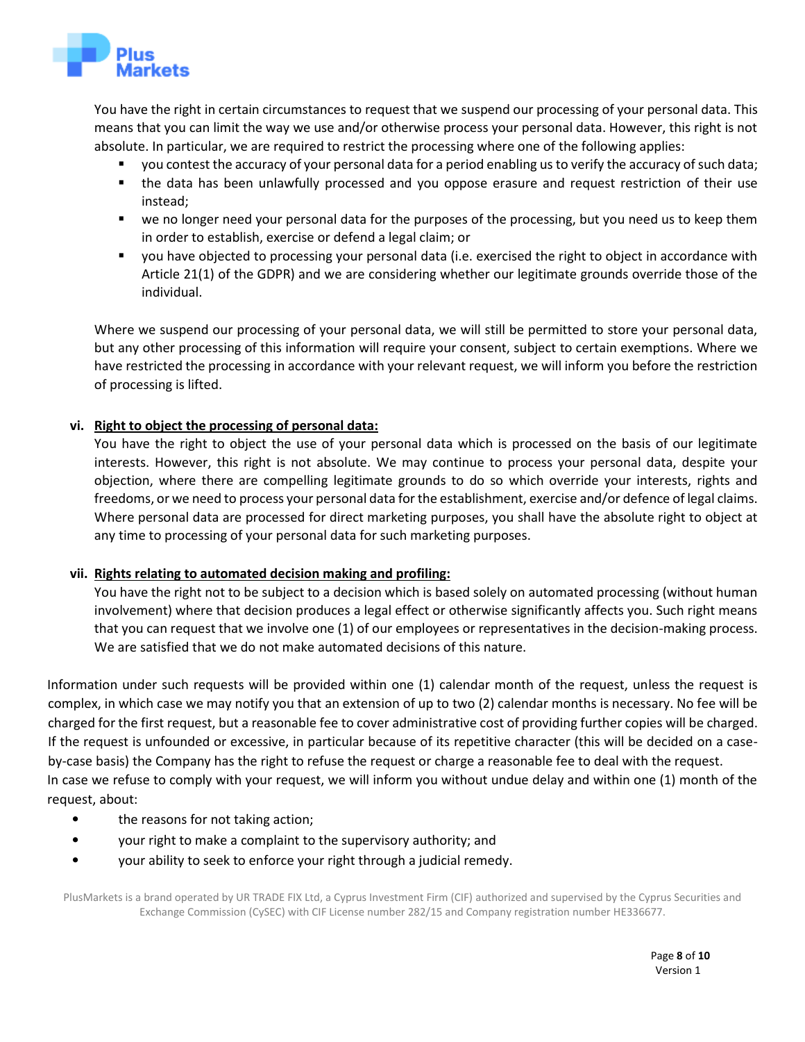

You have the right in certain circumstances to request that we suspend our processing of your personal data. This means that you can limit the way we use and/or otherwise process your personal data. However, this right is not absolute. In particular, we are required to restrict the processing where one of the following applies:

- you contest the accuracy of your personal data for a period enabling us to verify the accuracy of such data;
- the data has been unlawfully processed and you oppose erasure and request restriction of their use instead;
- we no longer need your personal data for the purposes of the processing, but you need us to keep them in order to establish, exercise or defend a legal claim; or
- you have objected to processing your personal data (i.e. exercised the right to object in accordance with Article 21(1) of the GDPR) and we are considering whether our legitimate grounds override those of the individual.

Where we suspend our processing of your personal data, we will still be permitted to store your personal data, but any other processing of this information will require your consent, subject to certain exemptions. Where we have restricted the processing in accordance with your relevant request, we will inform you before the restriction of processing is lifted.

# **vi. Right to object the processing of personal data:**

You have the right to object the use of your personal data which is processed on the basis of our legitimate interests. However, this right is not absolute. We may continue to process your personal data, despite your objection, where there are compelling legitimate grounds to do so which override your interests, rights and freedoms, or we need to process your personal data for the establishment, exercise and/or defence of legal claims. Where personal data are processed for direct marketing purposes, you shall have the absolute right to object at any time to processing of your personal data for such marketing purposes.

# **vii. Rights relating to automated decision making and profiling:**

You have the right not to be subject to a decision which is based solely on automated processing (without human involvement) where that decision produces a legal effect or otherwise significantly affects you. Such right means that you can request that we involve one (1) of our employees or representatives in the decision-making process. We are satisfied that we do not make automated decisions of this nature.

Information under such requests will be provided within one (1) calendar month of the request, unless the request is complex, in which case we may notify you that an extension of up to two (2) calendar months is necessary. No fee will be charged for the first request, but a reasonable fee to cover administrative cost of providing further copies will be charged. If the request is unfounded or excessive, in particular because of its repetitive character (this will be decided on a caseby-case basis) the Company has the right to refuse the request or charge a reasonable fee to deal with the request. In case we refuse to comply with your request, we will inform you without undue delay and within one (1) month of the request, about:

- the reasons for not taking action;
- your right to make a complaint to the supervisory authority; and
- your ability to seek to enforce your right through a judicial remedy.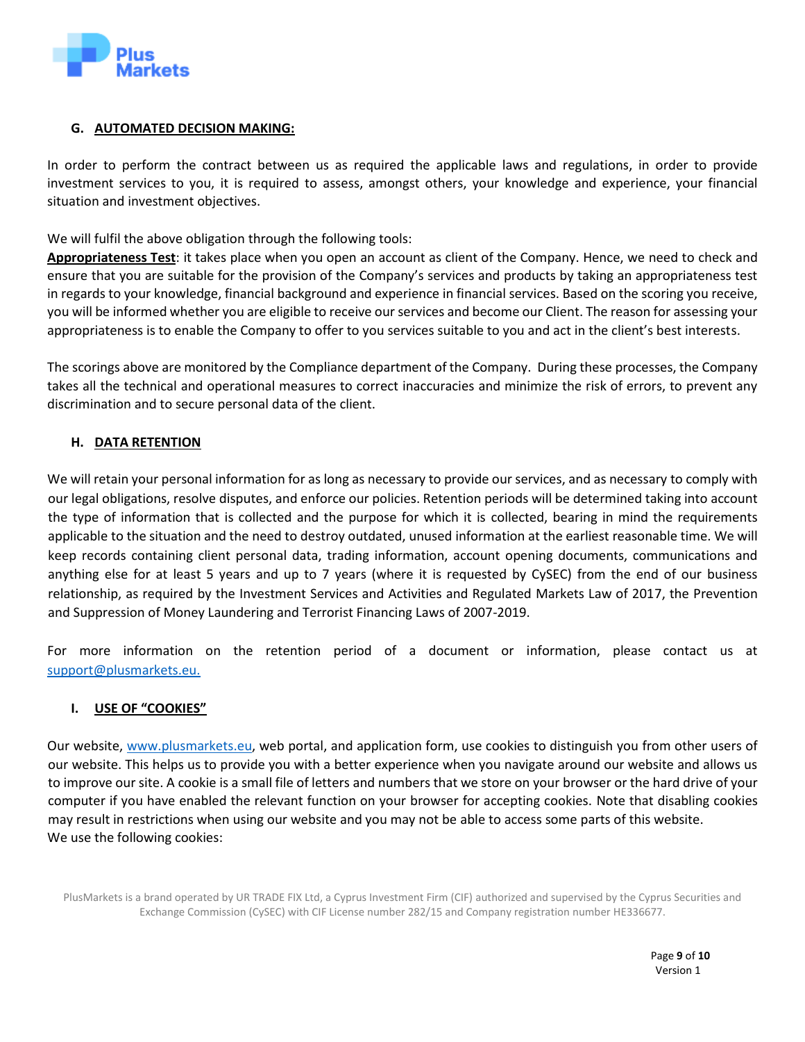

# **G. AUTOMATED DECISION MAKING:**

In order to perform the contract between us as required the applicable laws and regulations, in order to provide investment services to you, it is required to assess, amongst others, your knowledge and experience, your financial situation and investment objectives.

We will fulfil the above obligation through the following tools:

**Appropriateness Test**: it takes place when you open an account as client of the Company. Hence, we need to check and ensure that you are suitable for the provision of the Company's services and products by taking an appropriateness test in regards to your knowledge, financial background and experience in financial services. Based on the scoring you receive, you will be informed whether you are eligible to receive our services and become our Client. The reason for assessing your appropriateness is to enable the Company to offer to you services suitable to you and act in the client's best interests.

The scorings above are monitored by the Compliance department of the Company. During these processes, the Company takes all the technical and operational measures to correct inaccuracies and minimize the risk of errors, to prevent any discrimination and to secure personal data of the client.

# **H. DATA RETENTION**

We will retain your personal information for as long as necessary to provide our services, and as necessary to comply with our legal obligations, resolve disputes, and enforce our policies. Retention periods will be determined taking into account the type of information that is collected and the purpose for which it is collected, bearing in mind the requirements applicable to the situation and the need to destroy outdated, unused information at the earliest reasonable time. We will keep records containing client personal data, trading information, account opening documents, communications and anything else for at least 5 years and up to 7 years (where it is requested by CySEC) from the end of our business relationship, as required by the Investment Services and Activities and Regulated Markets Law of 2017, the Prevention and Suppression of Money Laundering and Terrorist Financing Laws of 2007-2019.

For more information on the retention period of a document or information, please contact us at [support@plusmarkets.eu.](mailto:support@plusmarkets.eu)

# **I. USE OF "COOKIES"**

Our website, www.plusmarkets.eu, web portal, and application form, use cookies to distinguish you from other users of our website. This helps us to provide you with a better experience when you navigate around our website and allows us to improve our site. A cookie is a small file of letters and numbers that we store on your browser or the hard drive of your computer if you have enabled the relevant function on your browser for accepting cookies. Note that disabling cookies may result in restrictions when using our website and you may not be able to access some parts of this website. We use the following cookies: